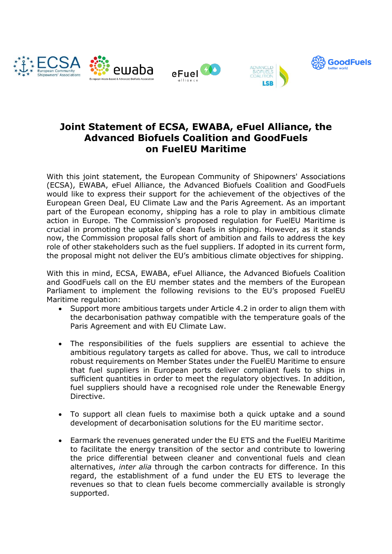

## **Joint Statement of ECSA, EWABA, eFuel Alliance, the Advanced Biofuels Coalition and GoodFuels on FuelEU Maritime**

With this joint statement, the European Community of Shipowners' Associations (ECSA), EWABA, eFuel Alliance, the Advanced Biofuels Coalition and GoodFuels would like to express their support for the achievement of the objectives of the European Green Deal, EU Climate Law and the Paris Agreement. As an important part of the European economy, shipping has a role to play in ambitious climate action in Europe. The Commission's proposed regulation for FuelEU Maritime is crucial in promoting the uptake of clean fuels in shipping. However, as it stands now, the Commission proposal falls short of ambition and fails to address the key role of other stakeholders such as the fuel suppliers. If adopted in its current form, the proposal might not deliver the EU's ambitious climate objectives for shipping.

With this in mind, ECSA, EWABA, eFuel Alliance, the Advanced Biofuels Coalition and GoodFuels call on the EU member states and the members of the European Parliament to implement the following revisions to the EU's proposed FuelEU Maritime regulation:

- Support more ambitious targets under Article 4.2 in order to align them with the decarbonisation pathway compatible with the temperature goals of the Paris Agreement and with EU Climate Law.
- The responsibilities of the fuels suppliers are essential to achieve the ambitious regulatory targets as called for above. Thus, we call to introduce robust requirements on Member States under the FuelEU Maritime to ensure that fuel suppliers in European ports deliver compliant fuels to ships in sufficient quantities in order to meet the regulatory objectives. In addition, fuel suppliers should have a recognised role under the Renewable Energy Directive.
- To support all clean fuels to maximise both a quick uptake and a sound development of decarbonisation solutions for the EU maritime sector.
- Earmark the revenues generated under the EU ETS and the FuelEU Maritime to facilitate the energy transition of the sector and contribute to lowering the price differential between cleaner and conventional fuels and clean alternatives, *inter alia* through the carbon contracts for difference. In this regard, the establishment of a fund under the EU ETS to leverage the revenues so that to clean fuels become commercially available is strongly supported.